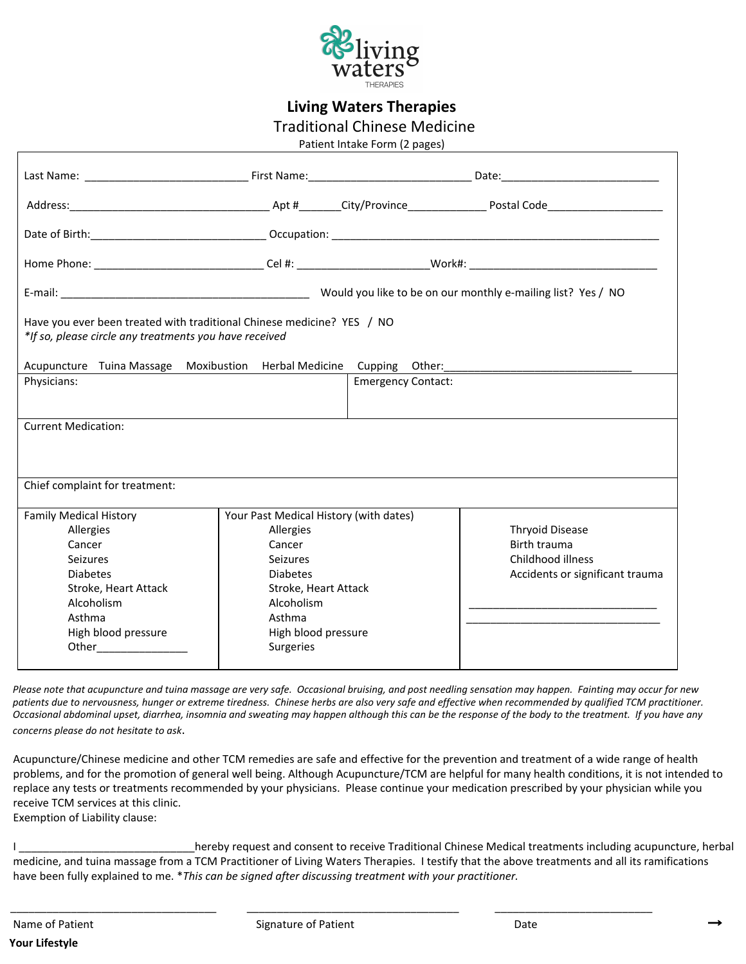

**Living Waters Therapies**

Traditional Chinese Medicine

Patient Intake Form (2 pages)

|                                                                                                                                                                                            | Home Phone: __________________________________Cel #: __________________________Work#: ______________________________                                                                    |                           |                                                                                                |  |  |
|--------------------------------------------------------------------------------------------------------------------------------------------------------------------------------------------|-----------------------------------------------------------------------------------------------------------------------------------------------------------------------------------------|---------------------------|------------------------------------------------------------------------------------------------|--|--|
|                                                                                                                                                                                            |                                                                                                                                                                                         |                           |                                                                                                |  |  |
| Have you ever been treated with traditional Chinese medicine? YES / NO<br>*If so, please circle any treatments you have received                                                           |                                                                                                                                                                                         |                           |                                                                                                |  |  |
| Acupuncture Tuina Massage Moxibustion Herbal Medicine Cupping Other: ______________________________                                                                                        |                                                                                                                                                                                         |                           |                                                                                                |  |  |
| Physicians:                                                                                                                                                                                |                                                                                                                                                                                         | <b>Emergency Contact:</b> |                                                                                                |  |  |
| <b>Current Medication:</b>                                                                                                                                                                 |                                                                                                                                                                                         |                           |                                                                                                |  |  |
| Chief complaint for treatment:                                                                                                                                                             |                                                                                                                                                                                         |                           |                                                                                                |  |  |
| <b>Family Medical History</b><br>Allergies<br>Cancer<br><b>Seizures</b><br><b>Diabetes</b><br>Stroke, Heart Attack<br>Alcoholism<br>Asthma<br>High blood pressure<br>Other________________ | Your Past Medical History (with dates)<br>Allergies<br>Cancer<br><b>Seizures</b><br><b>Diabetes</b><br>Stroke, Heart Attack<br>Alcoholism<br>Asthma<br>High blood pressure<br>Surgeries |                           | <b>Thryoid Disease</b><br>Birth trauma<br>Childhood illness<br>Accidents or significant trauma |  |  |

 *Please note that acupuncture and tuina massage are very safe. Occasional bruising, and post needling sensation may happen. Fainting may occur for new patients due to nervousness, hunger or extreme tiredness. Chinese herbs are also very safe and effective when recommended by qualified TCM practitioner. Occasional abdominal upset, diarrhea, insomnia and sweating may happen although this can be the response of the body to the treatment. If you have any concerns please do not hesitate to ask*.

Acupuncture/Chinese medicine and other TCM remedies are safe and effective for the prevention and treatment of a wide range of health problems, and for the promotion of general well being. Although Acupuncture/TCM are helpful for many health conditions, it is not intended to replace any tests or treatments recommended by your physicians. Please continue your medication prescribed by your physician while you receive TCM services at this clinic. Exemption of Liability clause:

I \_\_\_\_\_\_\_\_\_\_\_\_\_\_\_\_\_\_\_\_\_\_\_\_\_\_\_\_\_\_hereby request and consent to receive Traditional Chinese Medical treatments including acupuncture, herbal medicine, and tuina massage from a TCM Practitioner of Living Waters Therapies. I testify that the above treatments and all its ramifications have been fully explained to me. \**This can be signed after discussing treatment with your practitioner.*

\_\_\_\_\_\_\_\_\_\_\_\_\_\_\_\_\_\_\_\_\_\_\_\_\_\_\_\_\_\_\_\_\_\_ \_\_\_\_\_\_\_\_\_\_\_\_\_\_\_\_\_\_\_\_\_\_\_\_\_\_\_\_\_\_\_\_\_\_\_ \_\_\_\_\_\_\_\_\_\_\_\_\_\_\_\_\_\_\_\_\_\_\_\_\_\_